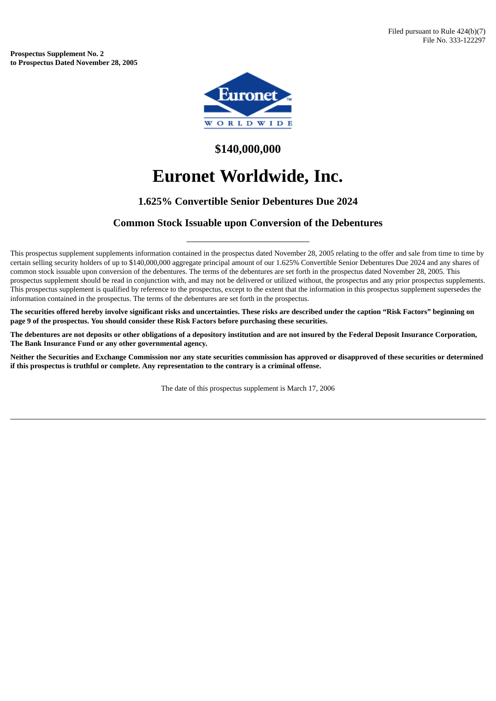**Prospectus Supplement No. 2 to Prospectus Dated November 28, 2005**



## **\$140,000,000**

# **Euronet Worldwide, Inc.**

### **1.625% Convertible Senior Debentures Due 2024**

#### **Common Stock Issuable upon Conversion of the Debentures**

This prospectus supplement supplements information contained in the prospectus dated November 28, 2005 relating to the offer and sale from time to time by certain selling security holders of up to \$140,000,000 aggregate principal amount of our 1.625% Convertible Senior Debentures Due 2024 and any shares of common stock issuable upon conversion of the debentures. The terms of the debentures are set forth in the prospectus dated November 28, 2005. This prospectus supplement should be read in conjunction with, and may not be delivered or utilized without, the prospectus and any prior prospectus supplements. This prospectus supplement is qualified by reference to the prospectus, except to the extent that the information in this prospectus supplement supersedes the information contained in the prospectus. The terms of the debentures are set forth in the prospectus.

The securities offered hereby involve significant risks and uncertainties. These risks are described under the caption "Risk Factors" beginning on **page 9 of the prospectus. You should consider these Risk Factors before purchasing these securities.**

The debentures are not deposits or other obligations of a depository institution and are not insured by the Federal Deposit Insurance Corporation, **The Bank Insurance Fund or any other governmental agency.**

Neither the Securities and Exchange Commission nor any state securities commission has approved or disapproved of these securities or determined **if this prospectus is truthful or complete. Any representation to the contrary is a criminal offense.**

The date of this prospectus supplement is March 17, 2006